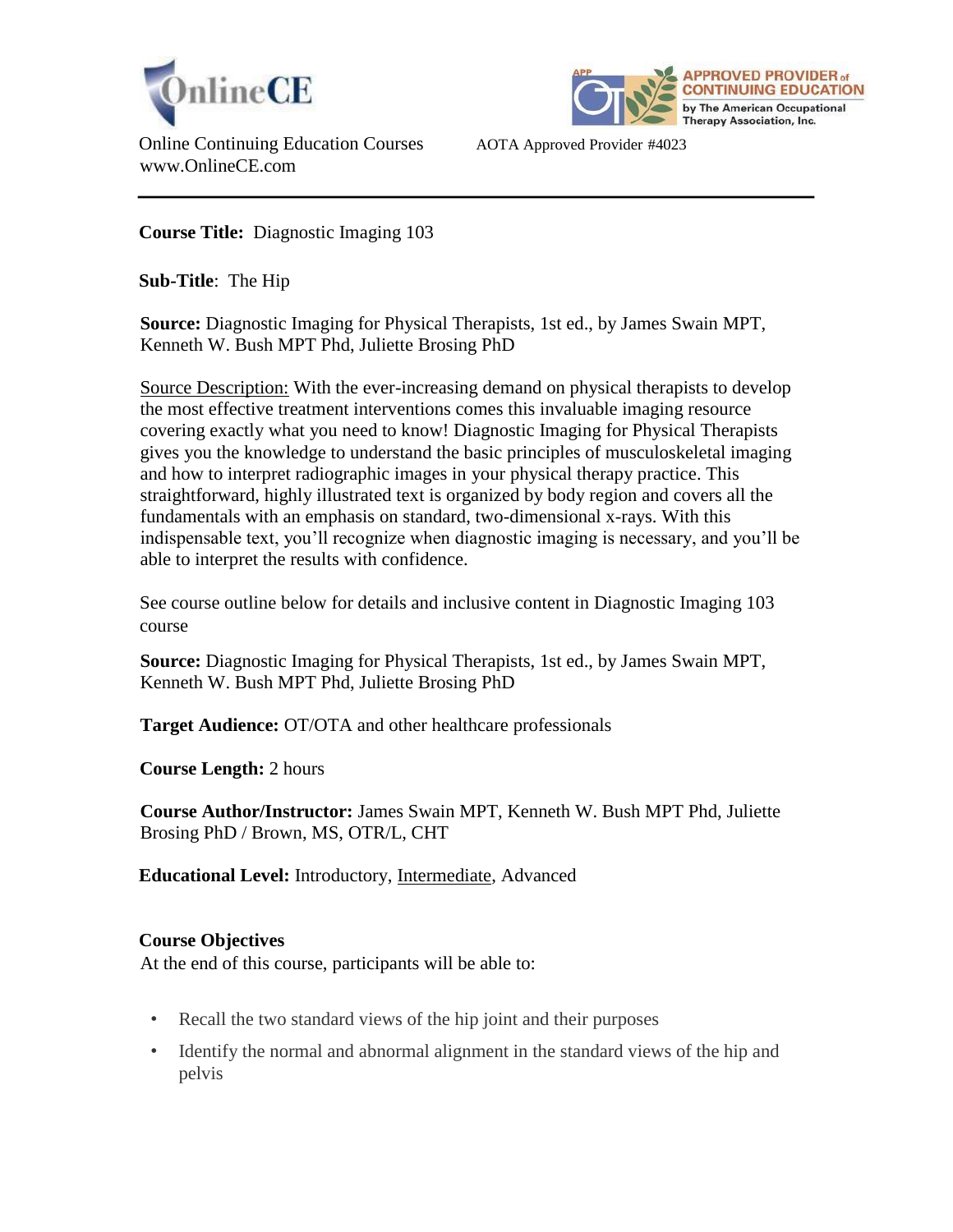



Online Continuing Education Courses AOTA Approved Provider #4023 www.OnlineCE.com

**Course Title:** Diagnostic Imaging 103

**Sub-Title**: The Hip

**Source:** Diagnostic Imaging for Physical Therapists, 1st ed., by James Swain MPT, Kenneth W. Bush MPT Phd, Juliette Brosing PhD

Source Description: With the ever-increasing demand on physical therapists to develop the most effective treatment interventions comes this invaluable imaging resource covering exactly what you need to know! Diagnostic Imaging for Physical Therapists gives you the knowledge to understand the basic principles of musculoskeletal imaging and how to interpret radiographic images in your physical therapy practice. This straightforward, highly illustrated text is organized by body region and covers all the fundamentals with an emphasis on standard, two-dimensional x-rays. With this indispensable text, you'll recognize when diagnostic imaging is necessary, and you'll be able to interpret the results with confidence.

See course outline below for details and inclusive content in Diagnostic Imaging 103 course

**Source:** Diagnostic Imaging for Physical Therapists, 1st ed., by James Swain MPT, Kenneth W. Bush MPT Phd, Juliette Brosing PhD

**Target Audience:** OT/OTA and other healthcare professionals

**Course Length:** 2 hours

**Course Author/Instructor:** James Swain MPT, Kenneth W. Bush MPT Phd, Juliette Brosing PhD / Brown, MS, OTR/L, CHT

**Educational Level:** Introductory, Intermediate, Advanced

# **Course Objectives**

At the end of this course, participants will be able to:

- Recall the two standard views of the hip joint and their purposes
- Identify the normal and abnormal alignment in the standard views of the hip and pelvis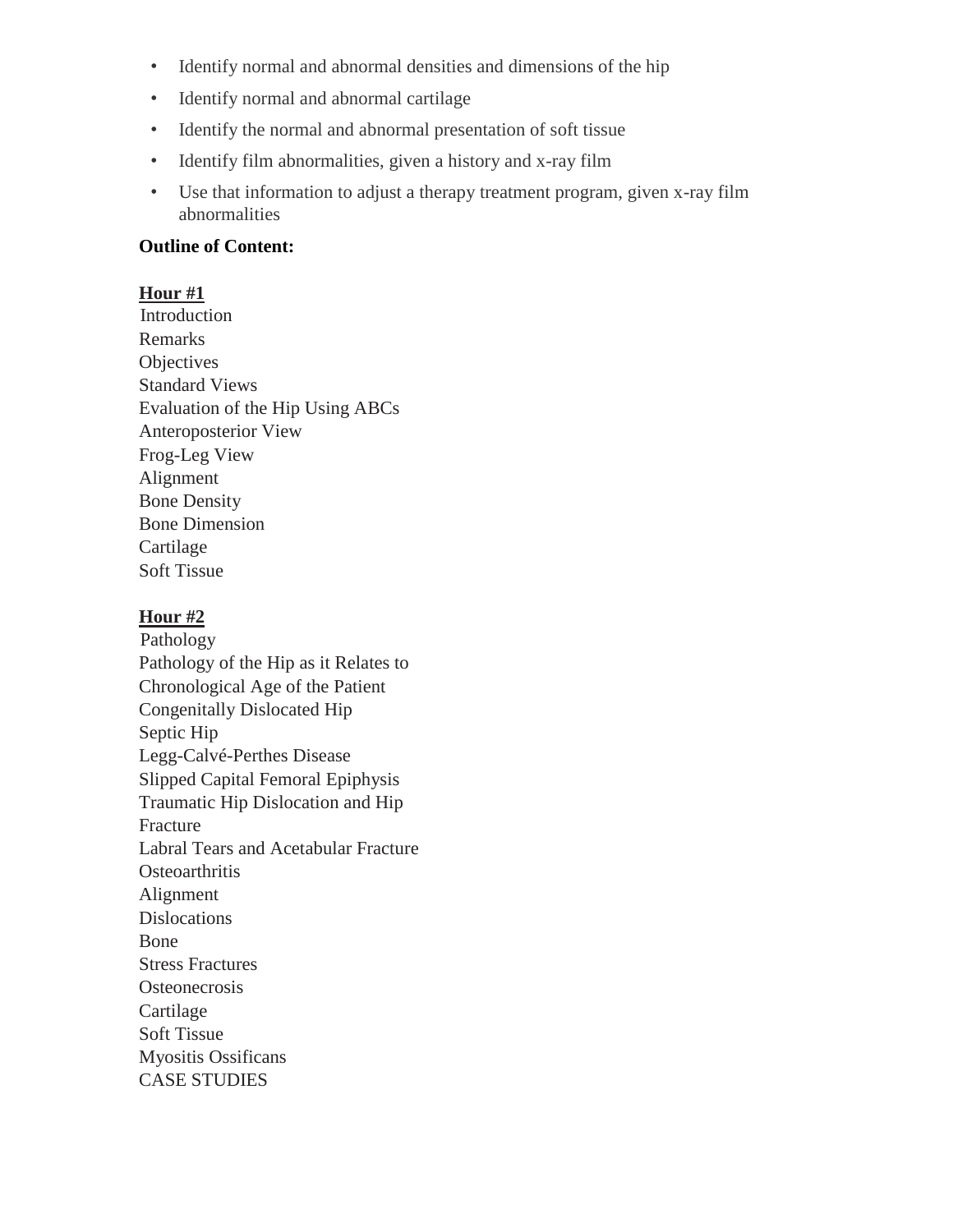- Identify normal and abnormal densities and dimensions of the hip
- Identify normal and abnormal cartilage
- Identify the normal and abnormal presentation of soft tissue
- Identify film abnormalities, given a history and x-ray film
- Use that information to adjust a therapy treatment program, given x-ray film abnormalities

## **Outline of Content:**

## **Hour #1**

Introduction Remarks **Objectives** Standard Views Evaluation of the Hip Using ABCs Anteroposterior View Frog-Leg View Alignment Bone Density Bone Dimension Cartilage Soft Tissue

# **Hour #2**

Pathology Pathology of the Hip as it Relates to Chronological Age of the Patient Congenitally Dislocated Hip Septic Hip Legg-Calvé-Perthes Disease Slipped Capital Femoral Epiphysis Traumatic Hip Dislocation and Hip Fracture Labral Tears and Acetabular Fracture **Osteoarthritis** Alignment Dislocations Bone Stress Fractures **Osteonecrosis** Cartilage Soft Tissue Myositis Ossificans

CASE STUDIES